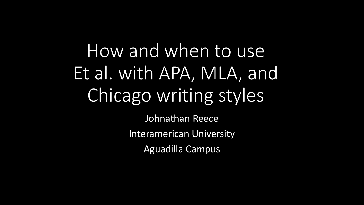How and when to use Et al. with APA, MLA, and Chicago writing styles

> Johnathan Reece Interamerican University Aguadilla Campus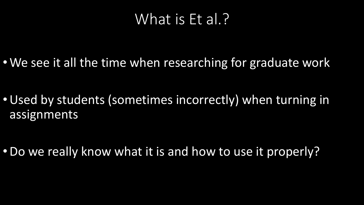#### What is Et al.?

• We see it all the time when researching for graduate work

•Used by students (sometimes incorrectly) when turning in assignments

•Do we really know what it is and how to use it properly?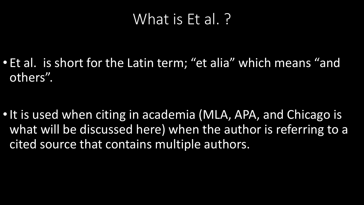#### What is Et al. ?

• Et al. is short for the Latin term; "et alia" which means "and others".

• It is used when citing in academia (MLA, APA, and Chicago is what will be discussed here) when the author is referring to a cited source that contains multiple authors.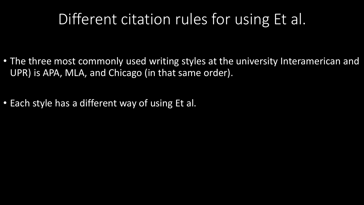#### Different citation rules for using Et al.

- The three most commonly used writing styles at the university Interamerican and UPR) is APA, MLA, and Chicago (in that same order).
- Each style has a different way of using Et al.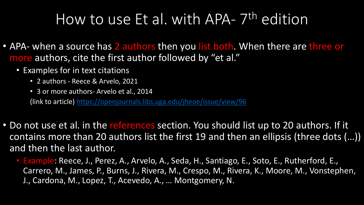# How to use Et al. with APA- 7<sup>th</sup> edition

- APA- when a source has 2 authors then you list both. When there are three or more authors, cite the first author followed by "et al."
	- Examples for in text citations
		- 2 authors Reece & Arvelo, 2021
		- 3 or more authors- Arvelo et al., 2014

(link to article) <https://openjournals.libs.uga.edu/jheoe/issue/view/96>

- Do not use et al. in the references section. You should list up to 20 authors. If it contains more than 20 authors list the first 19 and then an ellipsis (three dots (…)) and then the last author.
	- Example: Reece, J., Perez, A., Arvelo, A., Seda, H., Santiago, E., Soto, E., Rutherford, E., Carrero, M., James, P., Burns, J., Rivera, M., Crespo, M., Rivera, K., Moore, M., Vonstephen, J., Cardona, M., Lopez, T., Acevedo, A., … Montgomery, N.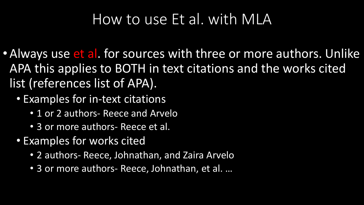### How to use Et al. with MLA

- Always use et al. for sources with three or more authors. Unlike APA this applies to BOTH in text citations and the works cited list (references list of APA).
	- Examples for in-text citations
		- 1 or 2 authors- Reece and Arvelo
		- 3 or more authors- Reece et al.
	- Examples for works cited
		- 2 authors- Reece, Johnathan, and Zaira Arvelo
		- 3 or more authors- Reece, Johnathan, et al. …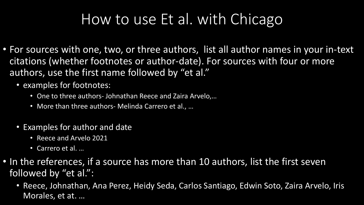## How to use Et al. with Chicago

- For sources with one, two, or three authors, list all author names in your in-text citations (whether footnotes or author-date). For sources with four or more authors, use the first name followed by "et al."
	- examples for footnotes:
		- One to three authors- Johnathan Reece and Zaira Arvelo,…
		- More than three authors- Melinda Carrero et al., …
	- Examples for author and date
		- Reece and Arvelo 2021
		- Carrero et al. …
- In the references, if a source has more than 10 authors, list the first seven followed by "et al.":
	- Reece, Johnathan, Ana Perez, Heidy Seda, Carlos Santiago, Edwin Soto, Zaira Arvelo, Iris Morales, et at. …